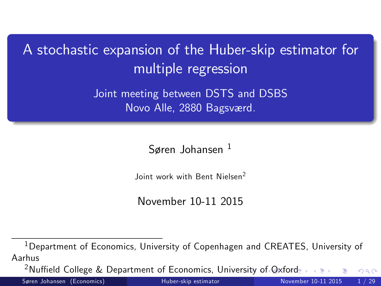A stochastic expansion of the Huber-skip estimator for multiple regression

> Joint meeting between DSTS and DSBS Novo Alle, 2880 Bagsværd.

> > Søren Johansen  $<sup>1</sup>$ </sup>

Joint work with Bent Nielsen<sup>2</sup>

November 10-11 2015

<sup>1</sup>Department of Economics, University of Copenhagen and CREATES, University of Aarhus

<sup>2</sup>Nuffield College & Department of Economics, Unive[rsit](#page-0-0)y [o](#page-1-0)[f Ox](#page-0-0)[f](#page-1-0)[ord](#page-0-0)  $\Omega$ 

<span id="page-0-0"></span>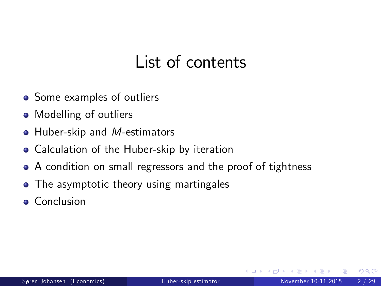## <span id="page-1-0"></span>List of contents

- Some examples of outliers
- Modelling of outliers
- Huber-skip and M-estimators
- Calculation of the Huber-skip by iteration
- A condition on small regressors and the proof of tightness
- The asymptotic theory using martingales
- **Conclusion**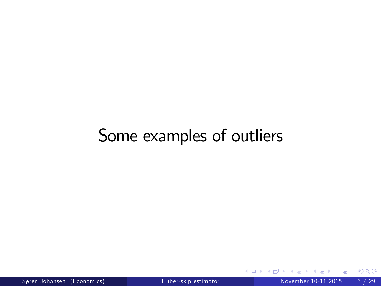## Some examples of outliers

活

**∢ ロ ▶ 《 何**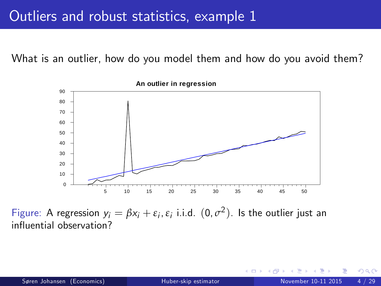What is an outlier, how do you model them and how do you avoid them?



Figure: A regression  $y_i = \beta x_i + \varepsilon_i$ ,  $\varepsilon_i$  i.i.d.  $(0, \sigma^2)$ . Is the outlier just an influential observation?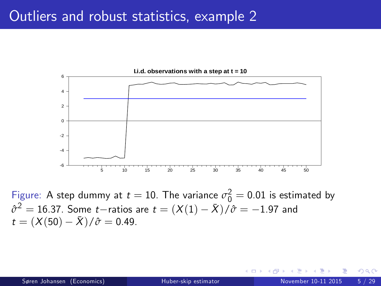#### Outliers and robust statistics, example 2



Figure: A step dummy at  $t=10$ . The variance  $\sigma_0^2=0.01$  is estimated by  $\hat{\sigma}^2 = 16.37$ . Some *t*—ratios are  $t = (X(1) - \bar{X})/\hat{\sigma} = -1.97$  and  $t = (X(50) - \bar{X})/\hat{\sigma} = 0.49.$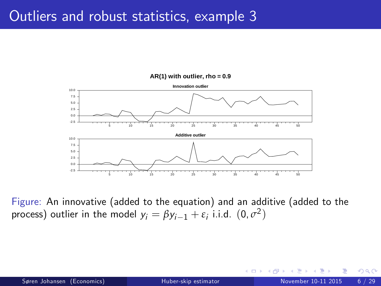#### Outliers and robust statistics, example 3



**AR(1) with outlier, rho = 0.9**

Figure: An innovative (added to the equation) and an additive (added to the process) outlier in the model  $y_i = \beta y_{i-1} + \varepsilon_i$  i.i.d.  $(0, \sigma^2)$ 

 $\leftarrow$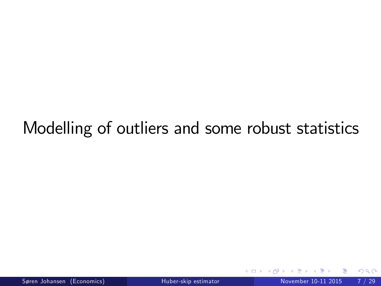# Modelling of outliers and some robust statistics

<span id="page-6-0"></span> $\leftarrow$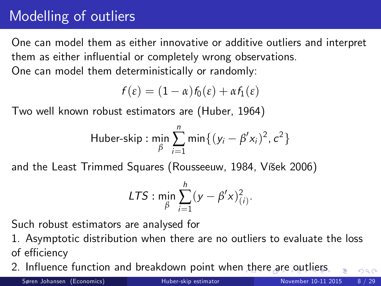## Modelling of outliers

One can model them as either innovative or additive outliers and interpret them as either influential or completely wrong observations. One can model them deterministically or randomly:

$$
f(\varepsilon)=(1-\alpha)f_0(\varepsilon)+\alpha f_1(\varepsilon)
$$

Two well known robust estimators are (Huber, 1964)

Huber-skip : 
$$
\min_{\beta} \sum_{i=1}^{n} \min \{ (y_i - \beta' x_i)^2, c^2 \}
$$

and the Least Trimmed Squares (Rousseeuw, 1984, Višek 2006)

$$
LTS: \min_{\beta} \sum_{i=1}^h (y - \beta' x)^2_{(i)}.
$$

Such robust estimators are analysed for

1. Asymptotic distribution when there are no outliers to evaluate the loss of efficiency

2. Influence function and breakdown point whe[n t](#page-6-0)h[er](#page-8-0)[e](#page-6-0) [a](#page-7-0)[re](#page-8-0) [o](#page-0-0)[utl](#page-28-0)[ier](#page-0-0)[s](#page-28-0)

Søren Johansen (Economics) [Huber-skip estimator](#page-0-0) November 10-11 2015 8 / 29

<span id="page-7-0"></span>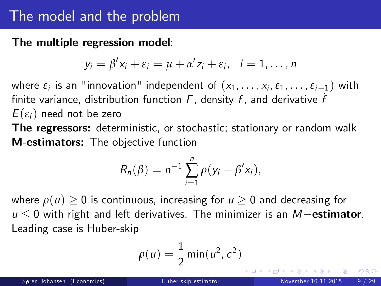### The model and the problem

The multiple regression model:

$$
y_i = \beta' x_i + \varepsilon_i = \mu + \alpha' z_i + \varepsilon_i, \quad i = 1, \ldots, n
$$

where  $\varepsilon_i$  is an "innovation" independent of  $(x_1, \ldots, x_i, \varepsilon_1, \ldots, \varepsilon_{i-1})$  with finite variance, distribution function  $F$ , density  $f$ , and derivative  $f$  $E(\varepsilon_i)$  need not be zero

The regressors: deterministic, or stochastic; stationary or random walk M-estimators: The objective function

$$
R_n(\beta) = n^{-1} \sum_{i=1}^n \rho(y_i - \beta' x_i),
$$

where  $\rho(u) \geq 0$  is continuous, increasing for  $u \geq 0$  and decreasing for  $u \leq 0$  with right and left derivatives. The minimizer is an M-estimator. Leading case is Huber-skip

$$
\rho(u) = \frac{1}{2} \min(u^2, c^2)
$$

<span id="page-8-0"></span> $QQQ$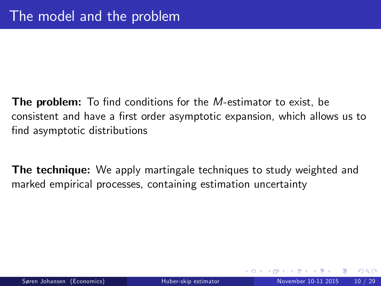- **The problem:** To find conditions for the M-estimator to exist, be consistent and have a first order asymptotic expansion, which allows us to find asymptotic distributions
- The technique: We apply martingale techniques to study weighted and marked empirical processes, containing estimation uncertainty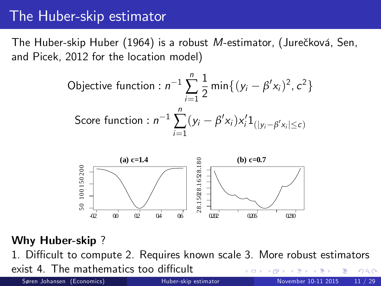## The Huber-skip estimator

The Huber-skip Huber (1964) is a robust M-estimator, (Jurečková, Sen, and Picek, 2012 for the location model)

Objective function: 
$$
n^{-1} \sum_{i=1}^{n} \frac{1}{2} \min\{(y_i - \beta' x_i)^2, c^2\}
$$

\nScore function: 
$$
n^{-1} \sum_{i=1}^{n} (y_i - \beta' x_i) x_i' \mathbf{1}_{\left(|y_i - \beta' x_i|\leq c\right)}
$$



#### Why Huber-skip ?

1. Difficult to compute 2. Requires known scale 3. More robust estimators

exist 4. The mathematics too difficult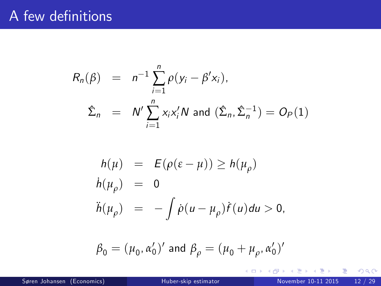### A few definitions

$$
R_n(\beta) = n^{-1} \sum_{i=1}^n \rho(y_i - \beta' x_i),
$$
  

$$
\hat{\Sigma}_n = N' \sum_{i=1}^n x_i x_i' N \text{ and } (\hat{\Sigma}_n, \hat{\Sigma}_n^{-1}) = O_P(1)
$$

$$
h(\mu) = E(\rho(\varepsilon - \mu)) \ge h(\mu_{\rho})
$$
  
\n
$$
h(\mu_{\rho}) = 0
$$
  
\n
$$
h(\mu_{\rho}) = -\int \rho(u - \mu_{\rho}) f(u) du > 0,
$$

$$
\beta_0=(\mu_0,\alpha_0')'\text{ and }\beta_\rho=(\mu_0+\mu_\rho,\alpha_0')'
$$

× э. 重 J.

**≮ロ ▶ (伊 )** 

重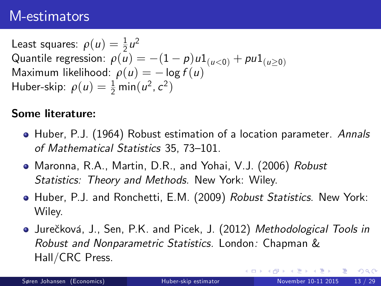### M-estimators

Least squares:  $\rho(u) = \frac{1}{2}u^2$ Quantile regression:  $\rho(u) = -(1 - p)u1_{(u<0)} + p u1_{(u>0)}$ Maximum likelihood:  $\rho(u) = -\log f(u)$ Huber-skip:  $\rho(u) = \frac{1}{2} \min(u^2, c^2)$ 

#### Some literature:

- Huber, P.J. (1964) Robust estimation of a location parameter. Annals of Mathematical Statistics 35, 73-101.
- Maronna, R.A., Martin, D.R., and Yohai, V.J. (2006) Robust Statistics: Theory and Methods. New York: Wiley.
- Huber, P.J. and Ronchetti, E.M. (2009) Robust Statistics. New York: Wiley.
- Jurečková, J., Sen, P.K. and Picek, J. (2012) Methodological Tools in Robust and Nonparametric Statistics. London: Chapman & Hall/CRC Press.

 $298$ 

÷

イロト イ押ト イヨト イヨト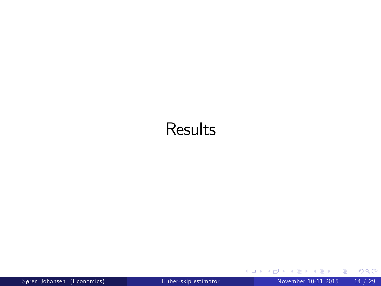## **Results**

造

 $299$ 

경계 제품

×.

**≮ロ ▶ (伊 )**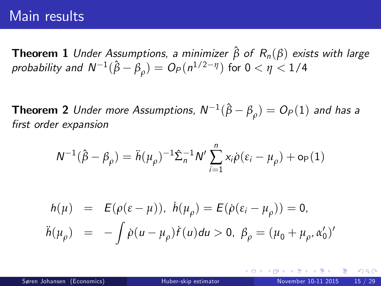#### Main results

**Theorem 1** Under Assumptions, a minimizer  $\hat{\beta}$  of  $R_n(\beta)$  exists with large probability and  $\mathsf{N}^{-1}(\hat{\beta}-\beta_\rho)=\mathsf{O}_P(n^{1/2-\eta})$  for  $0<\eta< 1/4$ 

**Theorem 2** Under more Assumptions,  $N^{-1}(\hat{\beta} - \beta_\rho) = O_P(1)$  and has a first order expansion

$$
N^{-1}(\hat{\boldsymbol{\beta}}-\boldsymbol{\beta}_{\rho})=\ddot{\boldsymbol{h}}(\boldsymbol{\mu}_{\rho})^{-1}\hat{\boldsymbol{\Sigma}}_{n}^{-1}N'\sum_{i=1}^{n}x_{i}\dot{\rho}(\boldsymbol{\epsilon}_{i}-\boldsymbol{\mu}_{\rho})+\mathrm{o}_{\mathrm{P}}(1)
$$

<span id="page-14-0"></span>
$$
h(\mu) = E(\rho(\varepsilon - \mu)), h(\mu_{\rho}) = E(\dot{\rho}(\varepsilon_i - \mu_{\rho})) = 0,
$$
  

$$
\ddot{h}(\mu_{\rho}) = -\int \dot{\rho}(u - \mu_{\rho})\dot{f}(u)du > 0, \ \beta_{\rho} = (\mu_0 + \mu_{\rho}, \alpha'_0)'
$$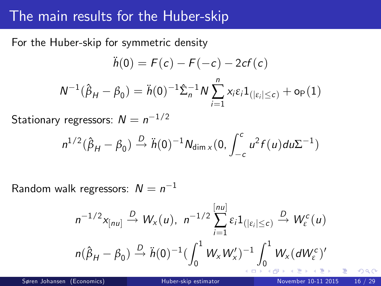### The main results for the Huber-skip

For the Huber-skip for symmetric density

$$
\ddot{h}(0) = F(c) - F(-c) - 2cf(c)
$$

$$
N^{-1}(\hat{\beta}_H - \beta_0) = \ddot{h}(0)^{-1} \hat{\Sigma}_n^{-1} N \sum_{i=1}^n x_i \varepsilon_i 1_{(|\varepsilon_i| \le c)} + o_P(1)
$$

Stationary regressors:  $N=n^{-1/2}$ 

$$
n^{1/2}(\hat{\beta}_H - \beta_0) \xrightarrow{D} \ddot{h}(0)^{-1} N_{\dim X}(0, \int_{-c}^{c} u^2 f(u) du \Sigma^{-1})
$$

Random walk regressors:  $N=n^{-1}$ 

$$
n^{-1/2}x_{[nu]}\stackrel{D}{\rightarrow}W_x(u),\;n^{-1/2}\sum_{i=1}^{[nu]}\varepsilon_i 1_{\left(|\varepsilon_i|\leq c\right)}\stackrel{D}{\rightarrow}W_{\varepsilon}^c(u)
$$

$$
n(\hat{\beta}_H-\beta_0)\stackrel{D}{\rightarrow}\ddot{h}(0)^{-1}\left(\int_0^1W_xW'_x\right)^{-1}\int_0^1W_x(dW_{\varepsilon}^c)'
$$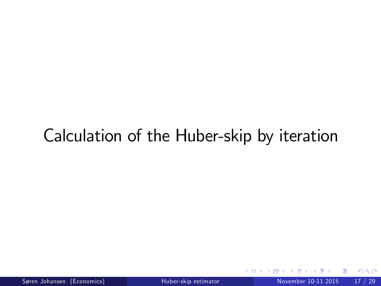# Calculation of the Huber-skip by iteration

4 0 8

<span id="page-16-0"></span> $QQ$ 

э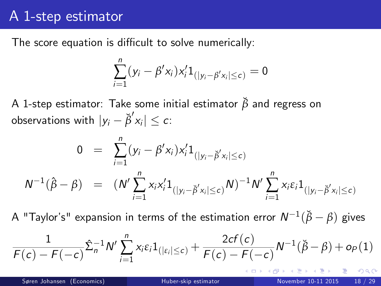### A 1-step estimator

The score equation is difficult to solve numerically:

$$
\sum_{i=1}^n (y_i - \beta' x_i) x'_i 1_{(|y_i - \beta' x_i| \leq c)} = 0
$$

A 1-step estimator: Take some initial estimator *β*˘ and regress on observations with  $|y_i - \breve{\beta}' x_i| \leq c$ :

$$
0 = \sum_{i=1}^{n} (y_i - \beta' x_i) x'_i 1_{(|y_i - \breve{\beta}' x_i| \le c)}
$$
  

$$
N^{-1}(\hat{\beta} - \beta) = (N' \sum_{i=1}^{n} x_i x'_i 1_{(|y_i - \breve{\beta}' x_i| \le c)} N)^{-1} N' \sum_{i=1}^{n} x_i \varepsilon_i 1_{(|y_i - \breve{\beta}' x_i| \le c)}
$$

 $\mathsf{A}% _{1}^{1}$  "Taylor's" expansion in terms of the estimation error  $\mathsf{N}^{-1}(\breve{\beta}-\beta)$  gives

$$
\frac{1}{F(c) - F(-c)} \hat{\Sigma}_n^{-1} N' \sum_{i=1}^n x_i \varepsilon_i 1_{(|\varepsilon_i| \leq c)} + \frac{2cf(c)}{F(c) - F(-c)} N^{-1}(\check{\beta} - \beta) + o_P(1)
$$

 $QQQ$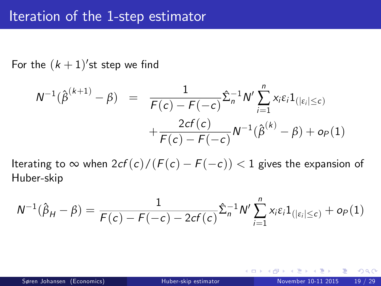For the  $(k+1)^\prime$ st step we find

$$
N^{-1}(\hat{\beta}^{(k+1)} - \beta) = \frac{1}{F(c) - F(-c)} \hat{\Sigma}_n^{-1} N' \sum_{i=1}^n x_i \varepsilon_i 1_{\left(|\varepsilon_i| \le c\right)} + \frac{2cf(c)}{F(c) - F(-c)} N^{-1}(\hat{\beta}^{(k)} - \beta) + o_P(1)
$$

Iterating to  $\infty$  when  $2cf(c)/(F(c) - F(-c)) < 1$  gives the expansion of Huber-skip

$$
N^{-1}(\hat{\beta}_H - \beta) = \frac{1}{F(c) - F(-c) - 2cf(c)} \hat{\Sigma}_n^{-1} N' \sum_{i=1}^n x_i \varepsilon_i 1_{(|\varepsilon_i| \le c)} + o_P(1)
$$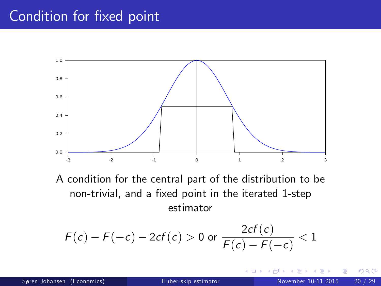### Condition for fixed point



A condition for the central part of the distribution to be non-trivial, and a fixed point in the iterated 1-step estimator

$$
F(c) - F(-c) - 2cf(c) > 0 \text{ or } \frac{2cf(c)}{F(c) - F(-c)} < 1
$$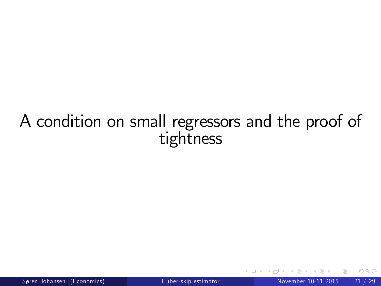## A condition on small regressors and the proof of tightness

 $\leftarrow$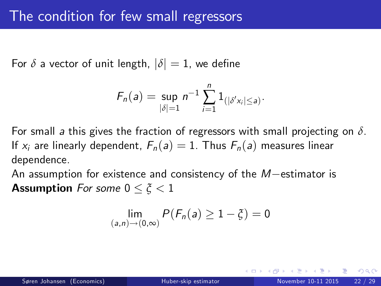For  $\delta$  a vector of unit length,  $|\delta| = 1$ , we define

$$
F_n(a) = \sup_{|\delta|=1} n^{-1} \sum_{i=1}^n 1_{(|\delta' x_i| \leq a)}.
$$

For small a this gives the fraction of regressors with small projecting on *δ*. If  $x_i$  are linearly dependent,  $F_n(a) = 1$ . Thus  $F_n(a)$  measures linear dependence.

An assumption for existence and consistency of the  $M$ -estimator is **Assumption** For some  $0 \le \tilde{\zeta} < 1$ 

$$
\lim_{(a,n)\to(0,\infty)}P(F_n(a)\geq 1-\xi)=0
$$

つひひ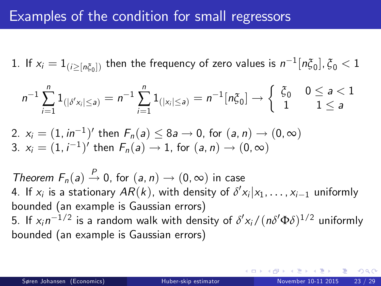### Examples of the condition for small regressors

1. If  $x_i = 1_{(i \geq [n \xi_0])}$  then the frequency of zero values is  $n^{-1}[n \xi_0], \xi_0 < 1$ 

$$
n^{-1}\sum_{i=1}^n 1_{(|\delta' x_i|\leq a)} = n^{-1}\sum_{i=1}^n 1_{(|x_i|\leq a)} = n^{-1}[n\xi_0] \to \begin{cases} \xi_0 & 0 \leq a < 1 \\ 1 & 1 \leq a \end{cases}
$$

2. 
$$
x_i = (1, in^{-1})'
$$
 then  $F_n(a) \le 8a \to 0$ , for  $(a, n) \to (0, \infty)$   
3.  $x_i = (1, i^{-1})'$  then  $F_n(a) \to 1$ , for  $(a, n) \to (0, \infty)$ 

Theorem  $F_n(a) \stackrel{P}{\rightarrow} 0$ , for  $(a, n) \rightarrow (0, \infty)$  in case 4. If  $x_i$  is a stationary  $AR(k)$ , with density of  $\delta' x_i | x_1, \ldots, x_{i-1}$  uniformly bounded (an example is Gaussian errors) 5. If  $x_i n^{-1/2}$  is a random walk with density of  $\delta' x_i/(n \delta' \Phi \delta)^{1/2}$  uniformly bounded (an example is Gaussian errors)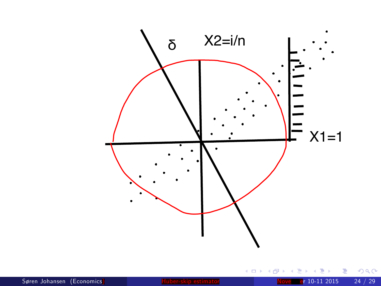

活

**K ロ ト K 伊 ト K** 

∍ ×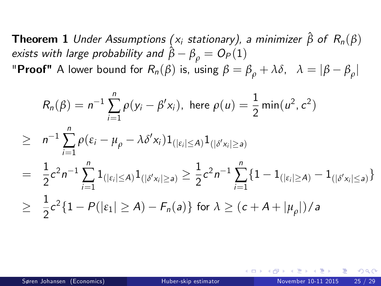**Theorem 1** Under Assumptions ( $x_i$  stationary), a minimizer  $\hat{\beta}$  of  $R_n(\beta)$ exists with large probability and  $\hat{\beta} - \beta_{\rho} = O_P(1)$ "**Proof"** A lower bound for  $R_n(\beta)$  is, using  $\beta = \beta_\rho + \lambda \delta$ ,  $\lambda = |\beta - \beta_\rho|$ 

$$
R_n(\beta) = n^{-1} \sum_{i=1}^n \rho(y_i - \beta' x_i), \text{ here } \rho(u) = \frac{1}{2} \min(u^2, c^2)
$$
  
\n
$$
\geq n^{-1} \sum_{i=1}^n \rho(\varepsilon_i - \mu_\rho - \lambda \delta' x_i) \mathbf{1}_{\{| \varepsilon_i | \leq A\}} \mathbf{1}_{\{| \delta' x_i | \geq a\}}
$$
  
\n
$$
= \frac{1}{2} c^2 n^{-1} \sum_{i=1}^n \mathbf{1}_{\{| \varepsilon_i | \leq A\}} \mathbf{1}_{\{| \delta' x_i | \geq a\}} \geq \frac{1}{2} c^2 n^{-1} \sum_{i=1}^n \{1 - \mathbf{1}_{\{| \varepsilon_i | \geq A\}} - \mathbf{1}_{\{| \delta' x_i | \leq a\}}\}
$$
  
\n
$$
\geq \frac{1}{2} c^2 \{1 - P(|\varepsilon_1| \geq A) - F_n(a)\} \text{ for } \lambda \geq (c + A + |\mu_\rho|)/a
$$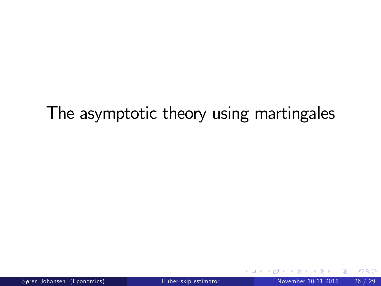# The asymptotic theory using martingales

4 0 8

э

<span id="page-25-0"></span> $QQ$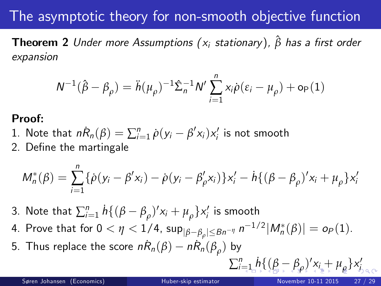## The asymptotic theory for non-smooth objective function

**Theorem 2** Under more Assumptions (x<sub>i</sub> stationary),  $\hat{\beta}$  has a first order expansion

$$
N^{-1}(\hat{\beta} - \beta_{\rho}) = \ddot{h}(\mu_{\rho})^{-1} \hat{\Sigma}_n^{-1} N' \sum_{i=1}^n x_i \dot{\rho} (\varepsilon_i - \mu_{\rho}) + o_P(1)
$$

#### Proof:

- 1. Note that  $nR_n(\beta) = \sum_{i=1}^n \dot{\rho}(y_i \beta' x_i) x_i'$  is not smooth
- 2. Define the martingale

$$
M_n^*(\beta) = \sum_{i=1}^n {\{\dot{\rho}(y_i - \beta' x_i) - \dot{\rho}(y_i - \beta'_{\rho} x_i)\}x'_i - \dot{h}\{(\beta - \beta_{\rho})' x_i + \mu_{\rho}\}x'_i}
$$

- 3. Note that  $\sum_{i=1}^{n} h\{(\beta-\beta_{\rho})'\mathsf{x}_{i}+\mu_{\rho}\}\mathsf{x}'_{i}$  is smooth
- 4. Prove that for  $0 < \eta < 1/4$ ,  $\sup_{|\beta-\beta_\rho| \leq B} n^{-\eta} n^{-1/2}|M_n^{*}(\beta)| = o_P(1).$
- 5. Thus replace the score  $n\dot{R}_n(\beta) n\dot{R}_n(\beta_\rho)$  by

<span id="page-26-0"></span> $\sum_{i=1}^{n} h \{ (\beta - \beta_{\rho})' x_i + \mu_{\rho} \} x_i'$  $\sum_{i=1}^{n} h \{ (\beta - \beta_{\rho})' x_i + \mu_{\rho} \} x_i'$  $\sum_{i=1}^{n} h \{ (\beta - \beta_{\rho})' x_i + \mu_{\rho} \} x_i'$  $\sum_{i=1}^{n} h \{ (\beta - \beta_{\rho})' x_i + \mu_{\rho} \} x_i'$  $\sum_{i=1}^{n} h \{ (\beta - \beta_{\rho})' x_i + \mu_{\rho} \} x_i'$  $\sum_{i=1}^{n} h \{ (\beta - \beta_{\rho})' x_i + \mu_{\rho} \} x_i'$  $\sum_{i=1}^{n} h \{ (\beta - \beta_{\rho})' x_i + \mu_{\rho} \} x_i'$  $\sum_{i=1}^{n} h \{ (\beta - \beta_{\rho})' x_i + \mu_{\rho} \} x_i'$  $\sum_{i=1}^{n} h \{ (\beta - \beta_{\rho})' x_i + \mu_{\rho} \} x_i'$  $\sum_{i=1}^{n} h \{ (\beta - \beta_{\rho})' x_i + \mu_{\rho} \} x_i'$  $\sum_{i=1}^{n} h \{ (\beta - \beta_{\rho})' x_i + \mu_{\rho} \} x_i'$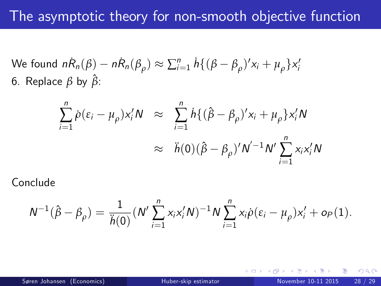We found 
$$
n\dot{R}_n(\beta) - n\dot{R}_n(\beta_\rho) \approx \sum_{i=1}^n \dot{h} \{ (\beta - \beta_\rho)' x_i + \mu_\rho \} x_i'
$$
  
6. Replace  $\beta$  by  $\hat{\beta}$ :

$$
\sum_{i=1}^{n} \dot{\rho}(\varepsilon_{i} - \mu_{\rho}) x_{i}' N \approx \sum_{i=1}^{n} h\{(\hat{\beta} - \beta_{\rho})' x_{i} + \mu_{\rho}\} x_{i}' N
$$

$$
\approx \ddot{h}(0)(\hat{\beta} - \beta_{\rho})' N'^{-1} N' \sum_{i=1}^{n} x_{i} x_{i}' N
$$

Conclude

$$
N^{-1}(\hat{\beta}-\beta_{\rho})=\frac{1}{\ddot{h}(0)}(N'\sum_{i=1}^n x_i x_i' N)^{-1}N\sum_{i=1}^n x_i \dot{\rho}(\varepsilon_i-\mu_{\rho})x_i'+o_P(1).
$$

4 0 8

<span id="page-27-0"></span> $QQ$